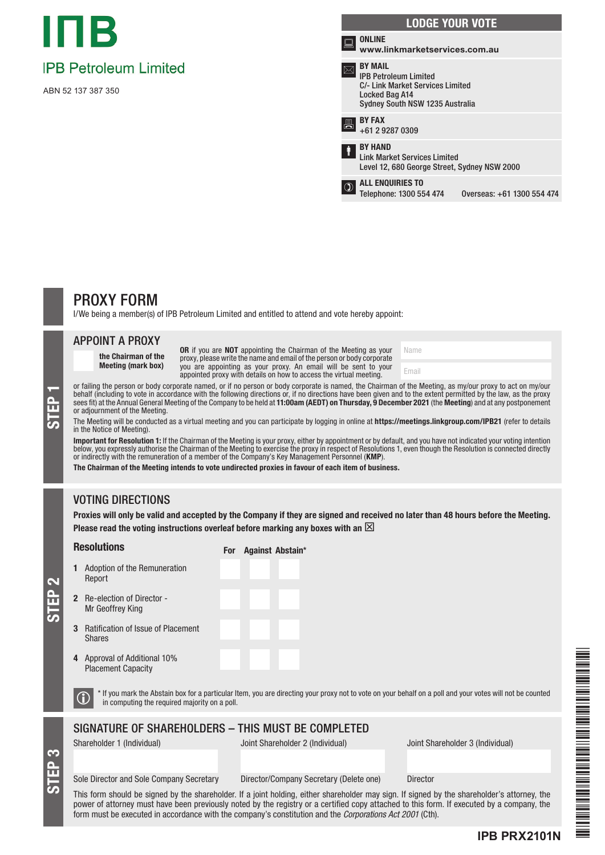

ABN 52 137 387 350



Name Email

# PROXY FORM

I/We being a member(s) of IPB Petroleum Limited and entitled to attend and vote hereby appoint:

### APPOINT A PROXY

the Chairman of the Meeting (mark box) OR if you are NOT appointing the Chairman of the Meeting as your proxy, please write the name and email of the person or body corporate you are appointing as your proxy. An email will be sent to your appointed proxy with details on how to access the virtual meeting.

or failing the person or body corporate named, or if no person or body corporate is named, the Chairman of the Meeting, as my/our proxy to act on my/our behalf (including to vote in accordance with the following directions behalf (including to vote in accordance with the following directions or, if no directions have been given and to the extent permitted by the law, as the proxy sees fit) at the Annual General Meeting of the Company to be held at **11:00am (AEDT) on Thursday, 9 December 2021** (the **Meeting**) and at any postponement or adjournment of the Meeting.

#### The Meeting will be conducted as a virtual meeting and you can participate by logging in online at https://meetings.linkgroup.com/IPB21 (refer to details in the Notice of Meeting).

**Important for Resolution 1:** If the Chairman of the Meeting is your proxy, either by appointment or by default, and you have not indicated your voting intention<br>below, you expressly authorise the Chairman of the Meeting t or indirectly with the remuneration of a member of the Company's Key Management Personnel (KMP).

The Chairman of the Meeting intends to vote undirected proxies in favour of each item of business.

## VOTING DIRECTIONS

Proxies will only be valid and accepted by the Company if they are signed and received no later than 48 hours before the Meeting. Please read the voting instructions overleaf before marking any boxes with an  $\boxtimes$ 

#### Resolutions

For Against Abstain\*

- 1 Adoption of the Remuneration Report 2 Re-election of Director -
- Mr Geoffrey King 3 Ratification of Issue of Placement
- Shares
- 4 Approval of Additional 10% Placement Capacity

S<br>EP 3

STEP 2

 $\bigcirc$  \* If you mark the Abstain box for a particular Item, you are directing your proxy not to vote on your behalf on a poll and your votes will not be counted in computing the required majority on a poll.

### SIGNATURE OF SHAREHOLDERS – THIS MUST BE COMPLETED

Shareholder 1 (Individual) Joint Shareholder 2 (Individual) Joint Shareholder 3 (Individual)

**IPB PRX2101N**

#### Sole Director and Sole Company Secretary Director/Company Secretary (Delete one) Director

This form should be signed by the shareholder. If a joint holding, either shareholder may sign. If signed by the shareholder's attorney, the power of attorney must have been previously noted by the registry or a certified copy attached to this form. If executed by a company, the form must be executed in accordance with the company's constitution and the *Corporations Act 2001* (Cth).